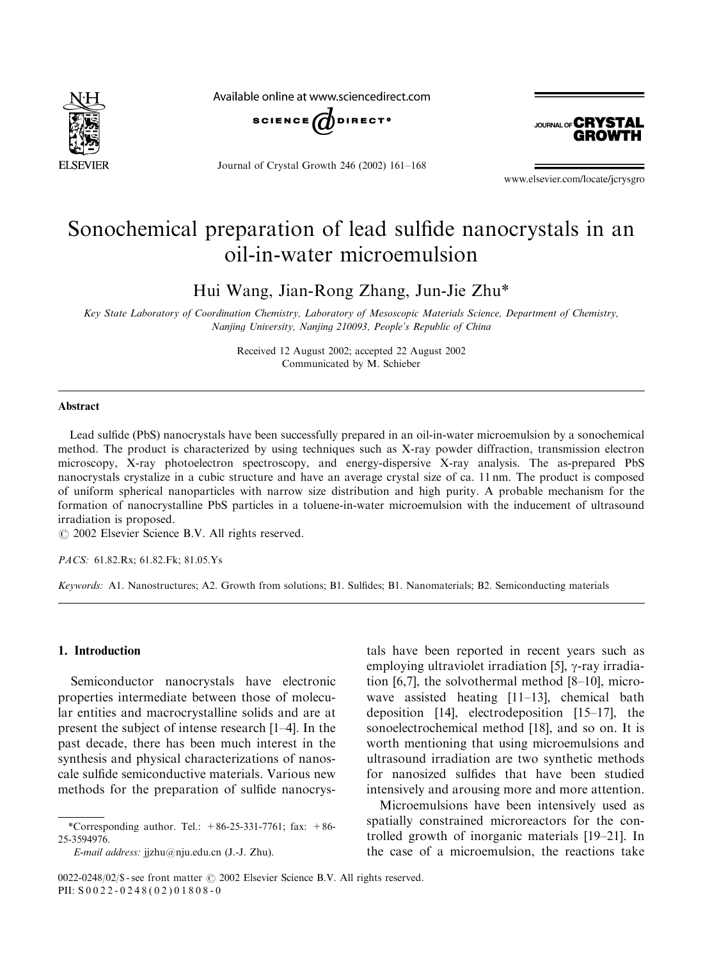

Available online at www.sciencedirect.com



Journal of Crystal Growth 246 (2002) 161–168



www.elsevier.com/locate/jcrysgro

# Sonochemical preparation of lead sulfide nanocrystals in an oil-in-water microemulsion

Hui Wang, Jian-Rong Zhang, Jun-Jie Zhu\*

Key State Laboratory of Coordination Chemistry, Laboratory of Mesoscopic Materials Science, Department of Chemistry, Nanjing University, Nanjing 210093, People's Republic of China

> Received 12 August 2002; accepted 22 August 2002 Communicated by M. Schieber

#### Abstract

Lead sulfide (PbS) nanocrystals have been successfully prepared in an oil-in-water microemulsion by a sonochemical method. The product is characterized by using techniques such as X-ray powder diffraction, transmission electron microscopy, X-ray photoelectron spectroscopy, and energy-dispersive X-ray analysis. The as-prepared PbS nanocrystals crystalize in a cubic structure and have an average crystal size of ca. 11 nm. The product is composed of uniform spherical nanoparticles with narrow size distribution and high purity. A probable mechanism for the formation of nanocrystalline PbS particles in a toluene-in-water microemulsion with the inducement of ultrasound irradiation is proposed.

 $\odot$  2002 Elsevier Science B.V. All rights reserved.

PACS: 61.82.Rx; 61.82.Fk; 81.05.Ys

Keywords: A1. Nanostructures; A2. Growth from solutions; B1. Sulfides; B1. Nanomaterials; B2. Semiconducting materials

## 1. Introduction

Semiconductor nanocrystals have electronic properties intermediate between those of molecular entities and macrocrystalline solids and are at present the subject of intense research [1–4]. In the past decade, there has been much interest in the synthesis and physical characterizations of nanoscale sulfide semiconductive materials. Various new methods for the preparation of sulfide nanocrystals have been reported in recent years such as employing ultraviolet irradiation [5],  $\gamma$ -ray irradiation [6,7], the solvothermal method [8–10], microwave assisted heating [11–13], chemical bath deposition [14], electrodeposition [15–17], the sonoelectrochemical method [18], and so on. It is worth mentioning that using microemulsions and ultrasound irradiation are two synthetic methods for nanosized sulfides that have been studied intensively and arousing more and more attention.

Microemulsions have been intensively used as spatially constrained microreactors for the controlled growth of inorganic materials [19–21]. In the case of a microemulsion, the reactions take

<sup>\*</sup>Corresponding author. Tel.:  $+86-25-331-7761$ ; fax:  $+86-$ 25-3594976.

E-mail address: jjzhu@nju.edu.cn (J.-J. Zhu).

 $0022-0248/02/\$$  - see front matter  $\circled{c}$  2002 Elsevier Science B.V. All rights reserved. PII: S 0022-0248(02)01808-0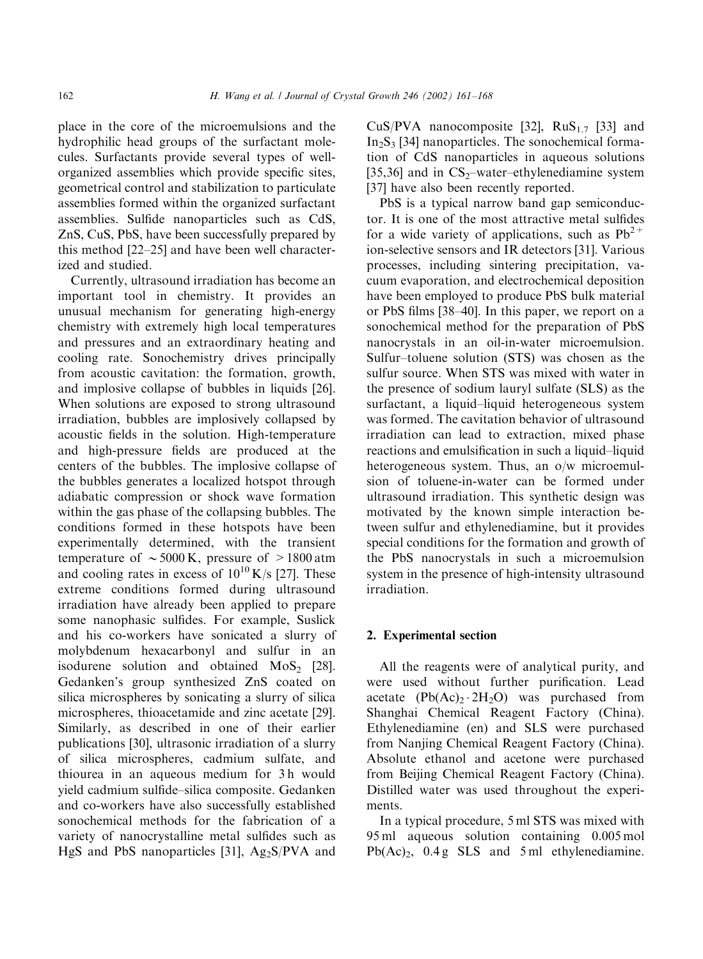place in the core of the microemulsions and the hydrophilic head groups of the surfactant molecules. Surfactants provide several types of wellorganized assemblies which provide specific sites, geometrical control and stabilization to particulate assemblies formed within the organized surfactant assemblies. Sulfide nanoparticles such as CdS, ZnS, CuS, PbS, have been successfully prepared by this method [22–25] and have been well characterized and studied.

Currently, ultrasound irradiation has become an important tool in chemistry. It provides an unusual mechanism for generating high-energy chemistry with extremely high local temperatures and pressures and an extraordinary heating and cooling rate. Sonochemistry drives principally from acoustic cavitation: the formation, growth, and implosive collapse of bubbles in liquids [26]. When solutions are exposed to strong ultrasound irradiation, bubbles are implosively collapsed by acoustic fields in the solution. High-temperature and high-pressure fields are produced at the centers of the bubbles. The implosive collapse of the bubbles generates a localized hotspot through adiabatic compression or shock wave formation within the gas phase of the collapsing bubbles. The conditions formed in these hotspots have been experimentally determined, with the transient temperature of  $\sim$  5000 K, pressure of  $>1800$  atm and cooling rates in excess of  $10^{10}$  K/s [27]. These extreme conditions formed during ultrasound irradiation have already been applied to prepare some nanophasic sulfides. For example, Suslick and his co-workers have sonicated a slurry of molybdenum hexacarbonyl and sulfur in an isodurene solution and obtained  $MoS<sub>2</sub>$  [28]. Gedanken's group synthesized ZnS coated on silica microspheres by sonicating a slurry of silica microspheres, thioacetamide and zinc acetate [29]. Similarly, as described in one of their earlier publications [30], ultrasonic irradiation of a slurry of silica microspheres, cadmium sulfate, and thiourea in an aqueous medium for 3 h would yield cadmium sulfide–silica composite. Gedanken and co-workers have also successfully established sonochemical methods for the fabrication of a variety of nanocrystalline metal sulfides such as HgS and PbS nanoparticles [31], Ag<sub>2</sub>S/PVA and

CuS/PVA nanocomposite [32],  $RuS<sub>1.7</sub>$  [33] and  $In_2S_3$  [34] nanoparticles. The sonochemical formation of CdS nanoparticles in aqueous solutions [35,36] and in  $CS_2$ -water-ethylenediamine system [37] have also been recently reported.

PbS is a typical narrow band gap semiconductor. It is one of the most attractive metal sulfides for a wide variety of applications, such as  $Pb^{2+}$ ion-selective sensors and IR detectors [31]. Various processes, including sintering precipitation, vacuum evaporation, and electrochemical deposition have been employed to produce PbS bulk material or PbS films [38–40]. In this paper, we report on a sonochemical method for the preparation of PbS nanocrystals in an oil-in-water microemulsion. Sulfur–toluene solution (STS) was chosen as the sulfur source. When STS was mixed with water in the presence of sodium lauryl sulfate (SLS) as the surfactant, a liquid–liquid heterogeneous system was formed. The cavitation behavior of ultrasound irradiation can lead to extraction, mixed phase reactions and emulsification in such a liquid–liquid heterogeneous system. Thus, an o/w microemulsion of toluene-in-water can be formed under ultrasound irradiation. This synthetic design was motivated by the known simple interaction between sulfur and ethylenediamine, but it provides special conditions for the formation and growth of the PbS nanocrystals in such a microemulsion system in the presence of high-intensity ultrasound irradiation.

#### 2. Experimental section

All the reagents were of analytical purity, and were used without further purification. Lead acetate  $(Pb(Ac)<sub>2</sub>·2H<sub>2</sub>O)$  was purchased from Shanghai Chemical Reagent Factory (China). Ethylenediamine (en) and SLS were purchased from Nanjing Chemical Reagent Factory (China). Absolute ethanol and acetone were purchased from Beijing Chemical Reagent Factory (China). Distilled water was used throughout the experiments.

In a typical procedure, 5 ml STS was mixed with 95 ml aqueous solution containing 0.005 mol Pb(Ac)<sub>2</sub>, 0.4 g SLS and 5 ml ethylenediamine.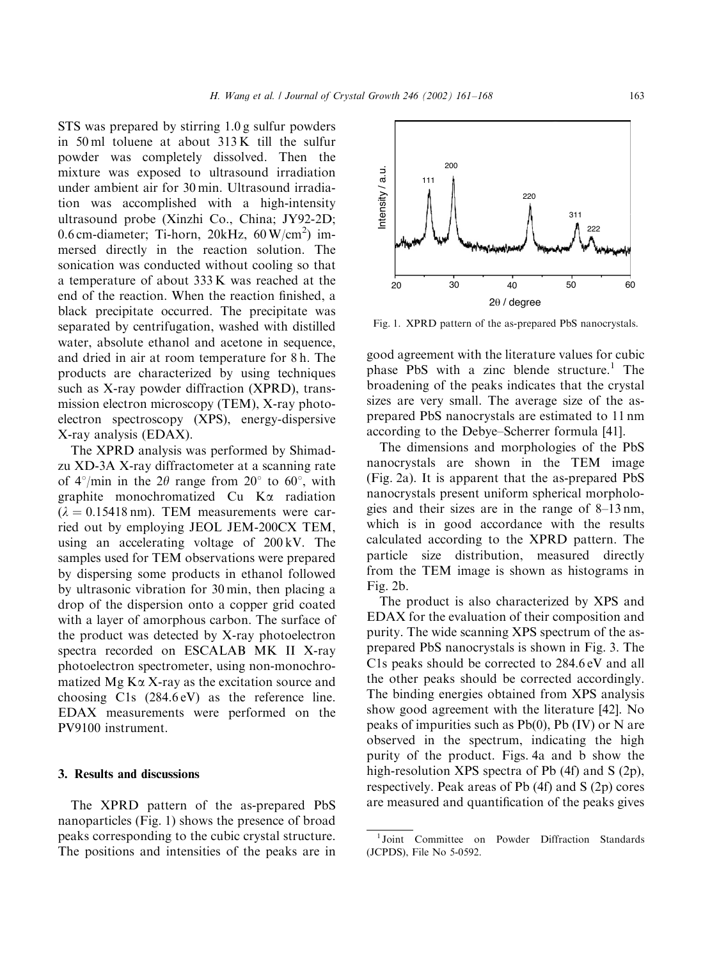STS was prepared by stirring 1.0 g sulfur powders in 50 ml toluene at about 313 K till the sulfur powder was completely dissolved. Then the mixture was exposed to ultrasound irradiation under ambient air for 30 min. Ultrasound irradiation was accomplished with a high-intensity ultrasound probe (Xinzhi Co., China; JY92-2D; 0.6 cm-diameter; Ti-horn, 20 $kHz$ , 60  $W/cm<sup>2</sup>$ ) immersed directly in the reaction solution. The sonication was conducted without cooling so that a temperature of about 333 K was reached at the end of the reaction. When the reaction finished, a black precipitate occurred. The precipitate was separated by centrifugation, washed with distilled water, absolute ethanol and acetone in sequence, and dried in air at room temperature for 8 h. The products are characterized by using techniques such as X-ray powder diffraction (XPRD), transmission electron microscopy (TEM), X-ray photoelectron spectroscopy (XPS), energy-dispersive X-ray analysis (EDAX).

The XPRD analysis was performed by Shimadzu XD-3A X-ray diffractometer at a scanning rate of  $4^{\circ}/$ min in the  $2\theta$  range from  $20^{\circ}$  to  $60^{\circ}$ , with graphite monochromatized  $Cu$  K $\alpha$  radiation  $(\lambda = 0.15418 \text{ nm})$ . TEM measurements were carried out by employing JEOL JEM-200CX TEM, using an accelerating voltage of 200 kV. The samples used for TEM observations were prepared by dispersing some products in ethanol followed by ultrasonic vibration for 30 min, then placing a drop of the dispersion onto a copper grid coated with a layer of amorphous carbon. The surface of the product was detected by X-ray photoelectron spectra recorded on ESCALAB MK II X-ray photoelectron spectrometer, using non-monochromatized Mg  $K\alpha$  X-ray as the excitation source and choosing C1s (284.6 eV) as the reference line. EDAX measurements were performed on the PV9100 instrument.

### 3. Results and discussions

The XPRD pattern of the as-prepared PbS nanoparticles (Fig. 1) shows the presence of broad peaks corresponding to the cubic crystal structure. The positions and intensities of the peaks are in

good agreement with the literature values for cubic Fig. 1. XPRD pattern of the as-prepared PbS nanocrystals.

20 30 40 50 60 2θ / degree

phase PbS with a zinc blende structure.<sup>1</sup> The broadening of the peaks indicates that the crystal sizes are very small. The average size of the asprepared PbS nanocrystals are estimated to 11 nm according to the Debye–Scherrer formula [41].

The dimensions and morphologies of the PbS nanocrystals are shown in the TEM image (Fig. 2a). It is apparent that the as-prepared PbS nanocrystals present uniform spherical morphologies and their sizes are in the range of 8–13 nm, which is in good accordance with the results calculated according to the XPRD pattern. The particle size distribution, measured directly from the TEM image is shown as histograms in Fig. 2b.

The product is also characterized by XPS and EDAX for the evaluation of their composition and purity. The wide scanning XPS spectrum of the asprepared PbS nanocrystals is shown in Fig. 3. The C1s peaks should be corrected to 284.6 eV and all the other peaks should be corrected accordingly. The binding energies obtained from XPS analysis show good agreement with the literature [42]. No peaks of impurities such as  $Pb(0)$ , Pb (IV) or N are observed in the spectrum, indicating the high purity of the product. Figs. 4a and b show the high-resolution XPS spectra of Pb (4f) and S (2p), respectively. Peak areas of Pb (4f) and S (2p) cores are measured and quantification of the peaks gives



<sup>1</sup> Joint Committee on Powder Diffraction Standards (JCPDS), File No 5-0592.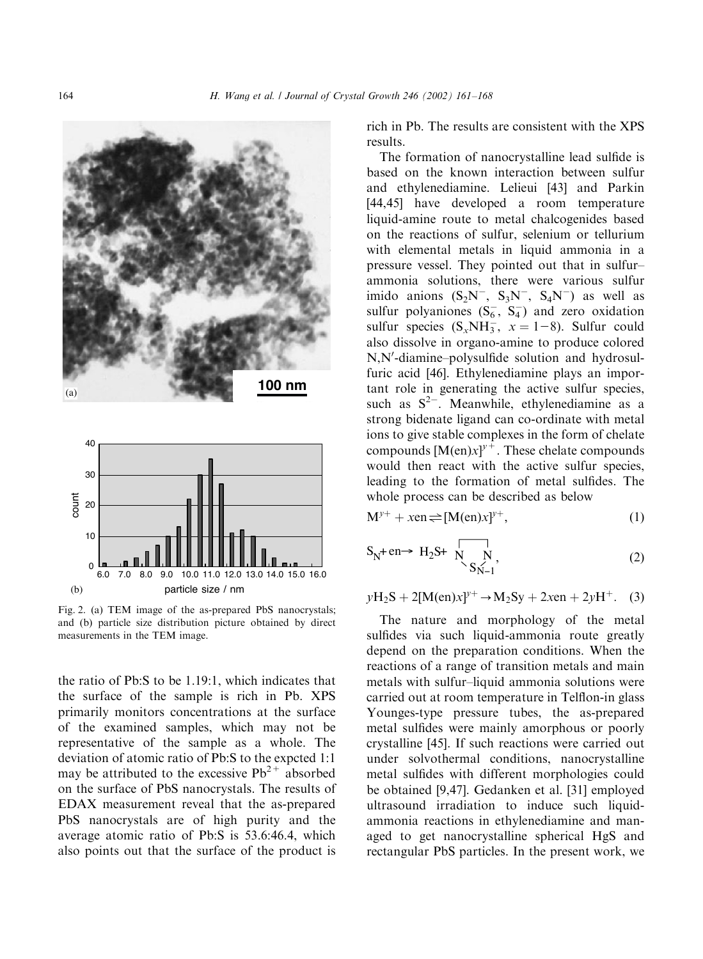



Fig. 2. (a) TEM image of the as-prepared PbS nanocrystals; and (b) particle size distribution picture obtained by direct measurements in the TEM image.

the ratio of Pb:S to be 1.19:1, which indicates that the surface of the sample is rich in Pb. XPS primarily monitors concentrations at the surface of the examined samples, which may not be representative of the sample as a whole. The deviation of atomic ratio of Pb:S to the expcted 1:1 may be attributed to the excessive  $Pb^{2+}$  absorbed on the surface of PbS nanocrystals. The results of EDAX measurement reveal that the as-prepared PbS nanocrystals are of high purity and the average atomic ratio of Pb:S is 53.6:46.4, which also points out that the surface of the product is

rich in Pb. The results are consistent with the XPS results.

The formation of nanocrystalline lead sulfide is based on the known interaction between sulfur and ethylenediamine. Lelieui [43] and Parkin [44,45] have developed a room temperature liquid-amine route to metal chalcogenides based on the reactions of sulfur, selenium or tellurium with elemental metals in liquid ammonia in a pressure vessel. They pointed out that in sulfur– ammonia solutions, there were various sulfur imido anions  $(S_2N^-, S_3N^-, S_4N^-)$  as well as sulfur polyaniones  $(S_6^-, S_4^-)$  and zero oxidation sulfur species  $(S_xNH_3^-, x=1-8)$ . Sulfur could also dissolve in organo-amine to produce colored N,N'-diamine-polysulfide solution and hydrosulfuric acid [46]. Ethylenediamine plays an important role in generating the active sulfur species, such as  $S^{2-}$ . Meanwhile, ethylenediamine as a strong bidenate ligand can co-ordinate with metal ions to give stable complexes in the form of chelate compounds  $[M(en)x]^{y+}$ . These chelate compounds would then react with the active sulfur species, leading to the formation of metal sulfides. The whole process can be described as below

$$
M^{\gamma+} + xen \rightleftharpoons [M(en)x]^{\gamma+}, \tag{1}
$$

$$
S_N + en \rightarrow H_2S + \overline{N} \overline{N} \over S_{N-1}.
$$
 (2)

$$
yH_2S + 2[M(en)x]^{y+} \rightarrow M_2Sy + 2xen + 2yH^+
$$
. (3)

The nature and morphology of the metal sulfides via such liquid-ammonia route greatly depend on the preparation conditions. When the reactions of a range of transition metals and main metals with sulfur–liquid ammonia solutions were carried out at room temperature in Telflon-in glass Younges-type pressure tubes, the as-prepared metal sulfides were mainly amorphous or poorly crystalline [45]. If such reactions were carried out under solvothermal conditions, nanocrystalline metal sulfides with different morphologies could be obtained [9,47]. Gedanken et al. [31] employed ultrasound irradiation to induce such liquidammonia reactions in ethylenediamine and managed to get nanocrystalline spherical HgS and rectangular PbS particles. In the present work, we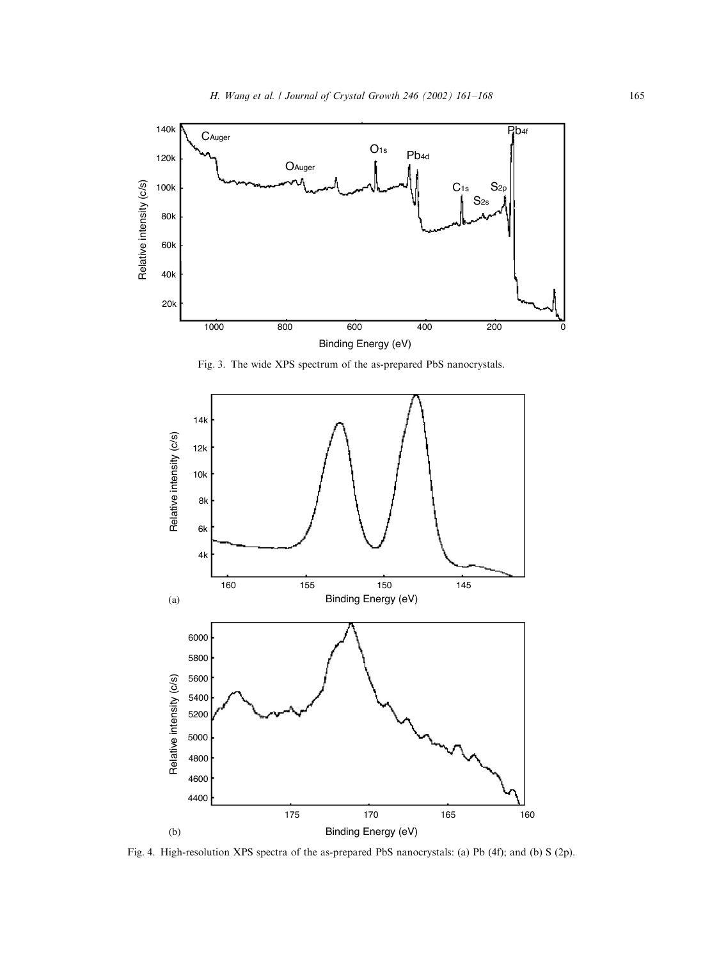

Fig. 3. The wide XPS spectrum of the as-prepared PbS nanocrystals.



Fig. 4. High-resolution XPS spectra of the as-prepared PbS nanocrystals: (a) Pb (4f); and (b) S (2p).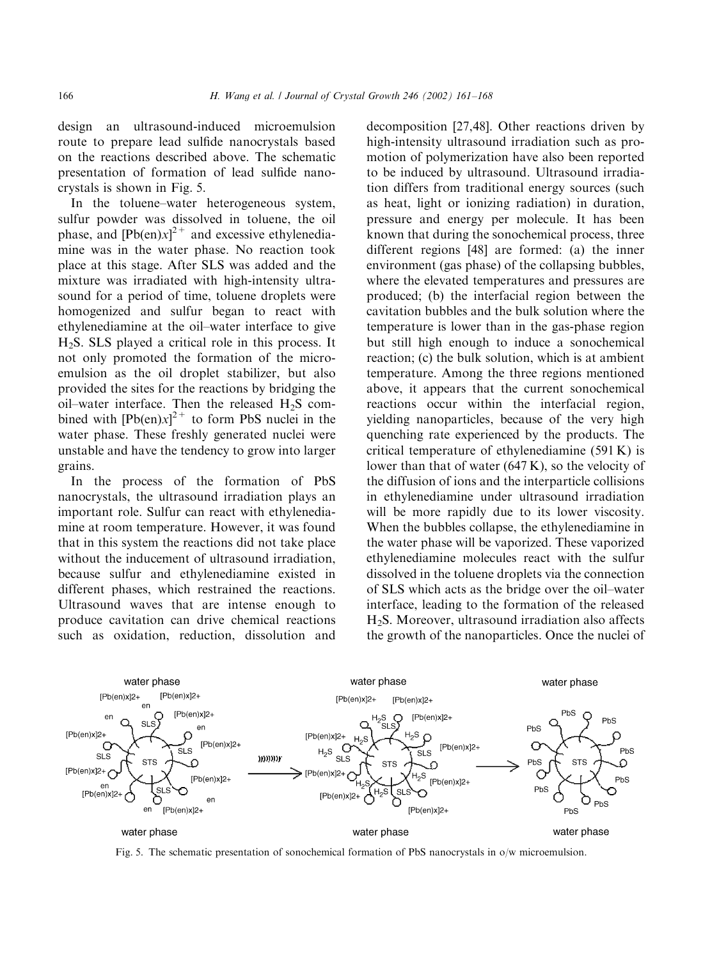design an ultrasound-induced microemulsion route to prepare lead sulfide nanocrystals based on the reactions described above. The schematic presentation of formation of lead sulfide nanocrystals is shown in Fig. 5.

In the toluene–water heterogeneous system, sulfur powder was dissolved in toluene, the oil phase, and  $[{\rm Pb(en)}x]^{2+}$  and excessive ethylenediamine was in the water phase. No reaction took place at this stage. After SLS was added and the mixture was irradiated with high-intensity ultrasound for a period of time, toluene droplets were homogenized and sulfur began to react with ethylenediamine at the oil–water interface to give H2S. SLS played a critical role in this process. It not only promoted the formation of the microemulsion as the oil droplet stabilizer, but also provided the sites for the reactions by bridging the oil–water interface. Then the released  $H_2S$  combined with  $[Pb(en)x]^{2+}$  to form PbS nuclei in the water phase. These freshly generated nuclei were unstable and have the tendency to grow into larger grains.

In the process of the formation of PbS nanocrystals, the ultrasound irradiation plays an important role. Sulfur can react with ethylenediamine at room temperature. However, it was found that in this system the reactions did not take place without the inducement of ultrasound irradiation. because sulfur and ethylenediamine existed in different phases, which restrained the reactions. Ultrasound waves that are intense enough to produce cavitation can drive chemical reactions such as oxidation, reduction, dissolution and

decomposition [27,48]. Other reactions driven by high-intensity ultrasound irradiation such as promotion of polymerization have also been reported to be induced by ultrasound. Ultrasound irradiation differs from traditional energy sources (such as heat, light or ionizing radiation) in duration, pressure and energy per molecule. It has been known that during the sonochemical process, three different regions [48] are formed: (a) the inner environment (gas phase) of the collapsing bubbles, where the elevated temperatures and pressures are produced; (b) the interfacial region between the cavitation bubbles and the bulk solution where the temperature is lower than in the gas-phase region but still high enough to induce a sonochemical reaction; (c) the bulk solution, which is at ambient temperature. Among the three regions mentioned above, it appears that the current sonochemical reactions occur within the interfacial region, yielding nanoparticles, because of the very high quenching rate experienced by the products. The critical temperature of ethylenediamine (591 K) is lower than that of water (647 K), so the velocity of the diffusion of ions and the interparticle collisions in ethylenediamine under ultrasound irradiation will be more rapidly due to its lower viscosity. When the bubbles collapse, the ethylenediamine in the water phase will be vaporized. These vaporized ethylenediamine molecules react with the sulfur dissolved in the toluene droplets via the connection of SLS which acts as the bridge over the oil–water interface, leading to the formation of the released H<sub>2</sub>S. Moreover, ultrasound irradiation also affects the growth of the nanoparticles. Once the nuclei of



Fig. 5. The schematic presentation of sonochemical formation of PbS nanocrystals in o/w microemulsion.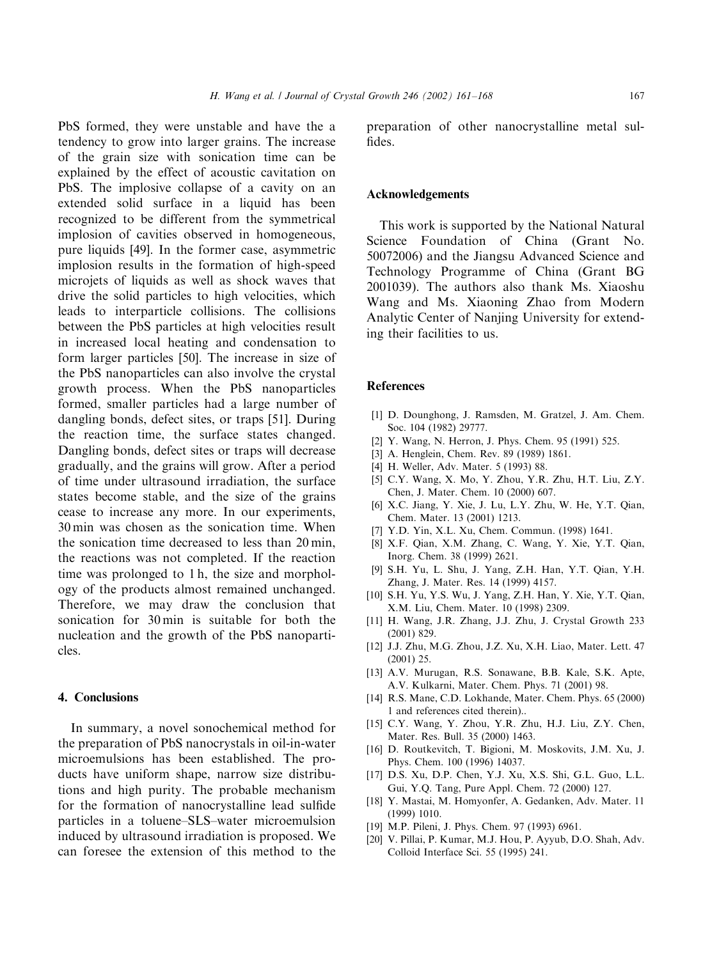PbS formed, they were unstable and have the a tendency to grow into larger grains. The increase of the grain size with sonication time can be explained by the effect of acoustic cavitation on PbS. The implosive collapse of a cavity on an extended solid surface in a liquid has been recognized to be different from the symmetrical implosion of cavities observed in homogeneous, pure liquids [49]. In the former case, asymmetric implosion results in the formation of high-speed microjets of liquids as well as shock waves that drive the solid particles to high velocities, which leads to interparticle collisions. The collisions between the PbS particles at high velocities result in increased local heating and condensation to form larger particles [50]. The increase in size of the PbS nanoparticles can also involve the crystal growth process. When the PbS nanoparticles formed, smaller particles had a large number of dangling bonds, defect sites, or traps [51]. During the reaction time, the surface states changed. Dangling bonds, defect sites or traps will decrease gradually, and the grains will grow. After a period of time under ultrasound irradiation, the surface states become stable, and the size of the grains cease to increase any more. In our experiments, 30 min was chosen as the sonication time. When the sonication time decreased to less than 20 min, the reactions was not completed. If the reaction time was prolonged to 1 h, the size and morphology of the products almost remained unchanged.

Therefore, we may draw the conclusion that sonication for 30 min is suitable for both the nucleation and the growth of the PbS nanoparticles.

## 4. Conclusions

In summary, a novel sonochemical method for the preparation of PbS nanocrystals in oil-in-water microemulsions has been established. The products have uniform shape, narrow size distributions and high purity. The probable mechanism for the formation of nanocrystalline lead sulfide particles in a toluene–SLS–water microemulsion induced by ultrasound irradiation is proposed. We can foresee the extension of this method to the

preparation of other nanocrystalline metal sulfides.

## Acknowledgements

This work is supported by the National Natural Science Foundation of China (Grant No. 50072006) and the Jiangsu Advanced Science and Technology Programme of China (Grant BG 2001039). The authors also thank Ms. Xiaoshu Wang and Ms. Xiaoning Zhao from Modern Analytic Center of Nanjing University for extending their facilities to us.

#### References

- [1] D. Dounghong, J. Ramsden, M. Gratzel, J. Am. Chem. Soc. 104 (1982) 29777.
- [2] Y. Wang, N. Herron, J. Phys. Chem. 95 (1991) 525.
- [3] A. Henglein, Chem. Rev. 89 (1989) 1861.
- [4] H. Weller, Adv. Mater. 5 (1993) 88.
- [5] C.Y. Wang, X. Mo, Y. Zhou, Y.R. Zhu, H.T. Liu, Z.Y. Chen, J. Mater. Chem. 10 (2000) 607.
- [6] X.C. Jiang, Y. Xie, J. Lu, L.Y. Zhu, W. He, Y.T. Qian, Chem. Mater. 13 (2001) 1213.
- [7] Y.D. Yin, X.L. Xu, Chem. Commun. (1998) 1641.
- [8] X.F. Qian, X.M. Zhang, C. Wang, Y. Xie, Y.T. Qian, Inorg. Chem. 38 (1999) 2621.
- [9] S.H. Yu, L. Shu, J. Yang, Z.H. Han, Y.T. Qian, Y.H. Zhang, J. Mater. Res. 14 (1999) 4157.
- [10] S.H. Yu, Y.S. Wu, J. Yang, Z.H. Han, Y. Xie, Y.T. Qian, X.M. Liu, Chem. Mater. 10 (1998) 2309.
- [11] H. Wang, J.R. Zhang, J.J. Zhu, J. Crystal Growth 233 (2001) 829.
- [12] J.J. Zhu, M.G. Zhou, J.Z. Xu, X.H. Liao, Mater. Lett. 47 (2001) 25.
- [13] A.V. Murugan, R.S. Sonawane, B.B. Kale, S.K. Apte, A.V. Kulkarni, Mater. Chem. Phys. 71 (2001) 98.
- [14] R.S. Mane, C.D. Lokhande, Mater. Chem. Phys. 65 (2000) 1 and references cited therein)..
- [15] C.Y. Wang, Y. Zhou, Y.R. Zhu, H.J. Liu, Z.Y. Chen, Mater. Res. Bull. 35 (2000) 1463.
- [16] D. Routkevitch, T. Bigioni, M. Moskovits, J.M. Xu, J. Phys. Chem. 100 (1996) 14037.
- [17] D.S. Xu, D.P. Chen, Y.J. Xu, X.S. Shi, G.L. Guo, L.L. Gui, Y.Q. Tang, Pure Appl. Chem. 72 (2000) 127.
- [18] Y. Mastai, M. Homyonfer, A. Gedanken, Adv. Mater. 11 (1999) 1010.
- [19] M.P. Pileni, J. Phys. Chem. 97 (1993) 6961.
- [20] V. Pillai, P. Kumar, M.J. Hou, P. Ayyub, D.O. Shah, Adv. Colloid Interface Sci. 55 (1995) 241.